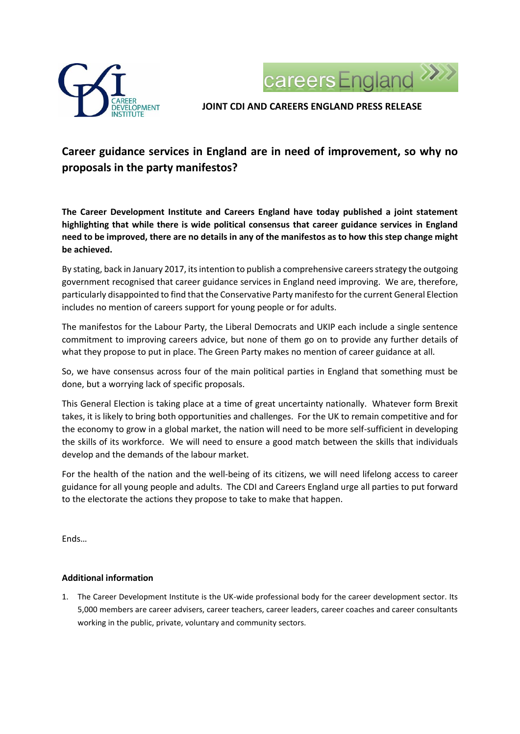



**JOINT CDI AND CAREERS ENGLAND PRESS RELEASE**

## **Career guidance services in England are in need of improvement, so why no proposals in the party manifestos?**

**The Career Development Institute and Careers England have today published a joint statement highlighting that while there is wide political consensus that career guidance services in England need to be improved, there are no details in any of the manifestos as to how this step change might be achieved.** 

By stating, back in January 2017, its intention to publish a comprehensive careers strategy the outgoing government recognised that career guidance services in England need improving. We are, therefore, particularly disappointed to find that the Conservative Party manifesto for the current General Election includes no mention of careers support for young people or for adults.

The manifestos for the Labour Party, the Liberal Democrats and UKIP each include a single sentence commitment to improving careers advice, but none of them go on to provide any further details of what they propose to put in place. The Green Party makes no mention of career guidance at all.

So, we have consensus across four of the main political parties in England that something must be done, but a worrying lack of specific proposals.

This General Election is taking place at a time of great uncertainty nationally. Whatever form Brexit takes, it is likely to bring both opportunities and challenges. For the UK to remain competitive and for the economy to grow in a global market, the nation will need to be more self-sufficient in developing the skills of its workforce. We will need to ensure a good match between the skills that individuals develop and the demands of the labour market.

For the health of the nation and the well-being of its citizens, we will need lifelong access to career guidance for all young people and adults. The CDI and Careers England urge all parties to put forward to the electorate the actions they propose to take to make that happen.

Ends…

## **Additional information**

1. The Career Development Institute is the UK-wide professional body for the career development sector. Its 5,000 members are career advisers, career teachers, career leaders, career coaches and career consultants working in the public, private, voluntary and community sectors.